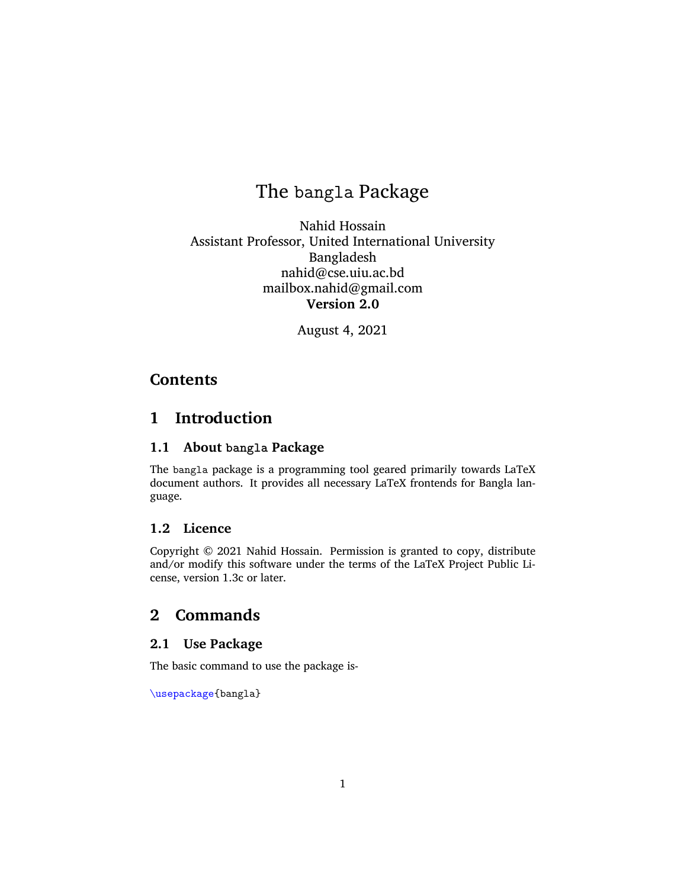# The bangla Package

Nahid Hossain Assistant Professor, United International University Bangladesh nahid@cse.uiu.ac.bd mailbox.nahid@gmail.com **Version 2.0**

August 4, 2021

# **Contents**

# **1 Introduction**

## **1.1 About bangla Package**

The bangla package is a programming tool geared primarily towards LaTeX document authors. It provides all necessary LaTeX frontends for Bangla language.

## **1.2 Licence**

Copyright © 2021 Nahid Hossain. Permission is granted to copy, distribute and/or modify this software under the terms of the LaTeX Project Public License, version 1.3c or later.

# **2 Commands**

### **2.1 Use Package**

The basic command to use the package is-

\usepackage{bangla}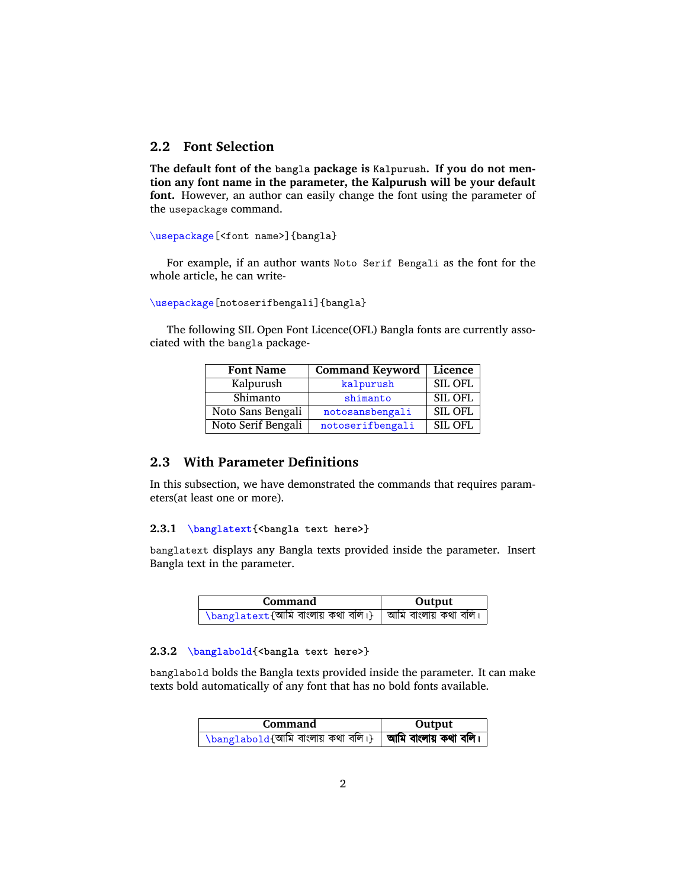## **2.2 Font Selection**

**The default font of the bangla package is Kalpurush. If you do not mention any font name in the parameter, the Kalpurush will be your default font.** However, an author can easily change the font using the parameter of the usepackage command.

\usepackage[<font name>]{bangla}

For example, if an author wants Noto Serif Bengali as the font for the whole article, he can write-

\usepackage[notoserifbengali]{bangla}

The following SIL Open Font Licence(OFL) Bangla fonts are currently associated with the bangla package-

| <b>Font Name</b>   | <b>Command Keyword</b> | Licence        |
|--------------------|------------------------|----------------|
| Kalpurush          | kalpurush              | <b>SIL OFL</b> |
| Shimanto           | shimanto               | <b>SIL OFL</b> |
| Noto Sans Bengali  | notosansbengali        | <b>SIL OFL</b> |
| Noto Serif Bengali | notoserifbengali       | <b>SIL OFL</b> |

## **2.3 With Parameter Definitions**

In this subsection, we have demonstrated the commands that requires parameters(at least one or more).

#### **2.3.1 \banglatext{<bangla text here>}**

banglatext displays any Bangla texts provided inside the parameter. Insert Bangla text in the parameter.

| Command                                                                          | Output |
|----------------------------------------------------------------------------------|--------|
| $\lambda$ banglatext $\overline{\{$ আমি বাংলায় কথা বলি।}   আমি বাংলায় কথা বলি। |        |

#### **2.3.2 \banglabold{<bangla text here>}**

banglabold bolds the Bangla texts provided inside the parameter. It can make texts bold automatically of any font that has no bold fonts available.

| Command                                                                 | Output |
|-------------------------------------------------------------------------|--------|
| $\perp$ \banglabold{আমি বাংলায় কথা বলি।}   <b>আমি বাংলায় কথা বলি।</b> |        |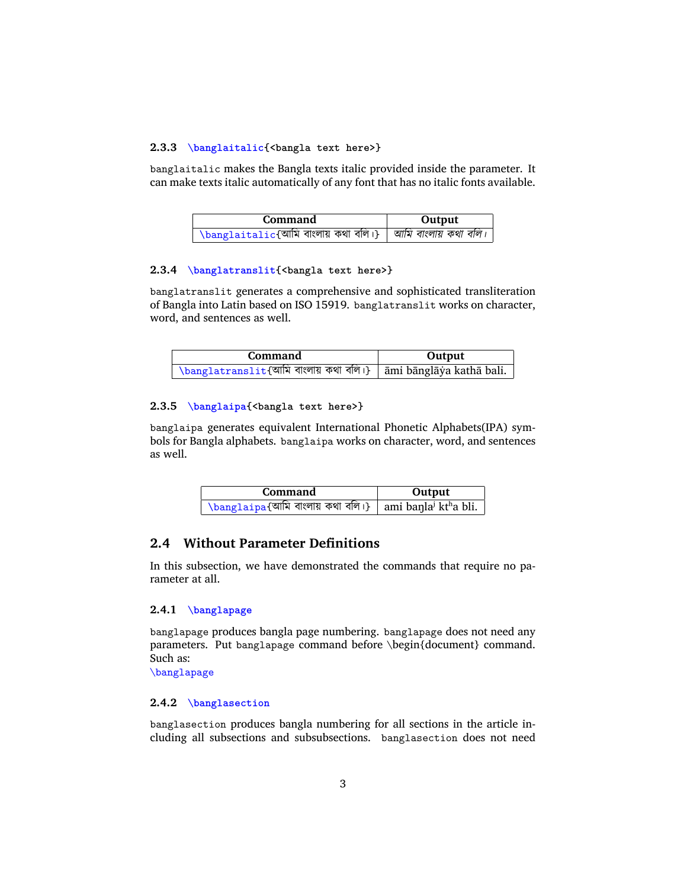#### **2.3.3 \banglaitalic{<bangla text here>}**

banglaitalic makes the Bangla texts italic provided inside the parameter. It can make texts italic automatically of any font that has no italic fonts available.

| Command                                                             | Output |
|---------------------------------------------------------------------|--------|
| ' \banglaitalic{আমি বাংলায় কথা বলি।}   <i>আমি বাংলায় কথা বলি।</i> |        |

#### **2.3.4 \banglatranslit{<bangla text here>}**

banglatranslit generates a comprehensive and sophisticated transliteration of Bangla into Latin based on ISO 15919. banglatranslit works on character, word, and sentences as well.

| Command                                                        | Output |
|----------------------------------------------------------------|--------|
| \banglatranslit{আমি বাংলায় কথা বলি।} ami bānglāya kathā bali. |        |

#### **2.3.5 \banglaipa{<bangla text here>}**

banglaipa generates equivalent International Phonetic Alphabets(IPA) symbols for Bangla alphabets. banglaipa works on character, word, and sentences as well.

| Command                                                             | Output |
|---------------------------------------------------------------------|--------|
| \banglaipa{আমি বাংলায় কথা বলি।}   ami banla <sup>j</sup> ktha bli. |        |

## **2.4 Without Parameter Definitions**

In this subsection, we have demonstrated the commands that require no parameter at all.

#### **2.4.1 \banglapage**

banglapage produces bangla page numbering. banglapage does not need any parameters. Put banglapage command before \begin{document} command. Such as:

\banglapage

#### **2.4.2 \banglasection**

banglasection produces bangla numbering for all sections in the article including all subsections and subsubsections. banglasection does not need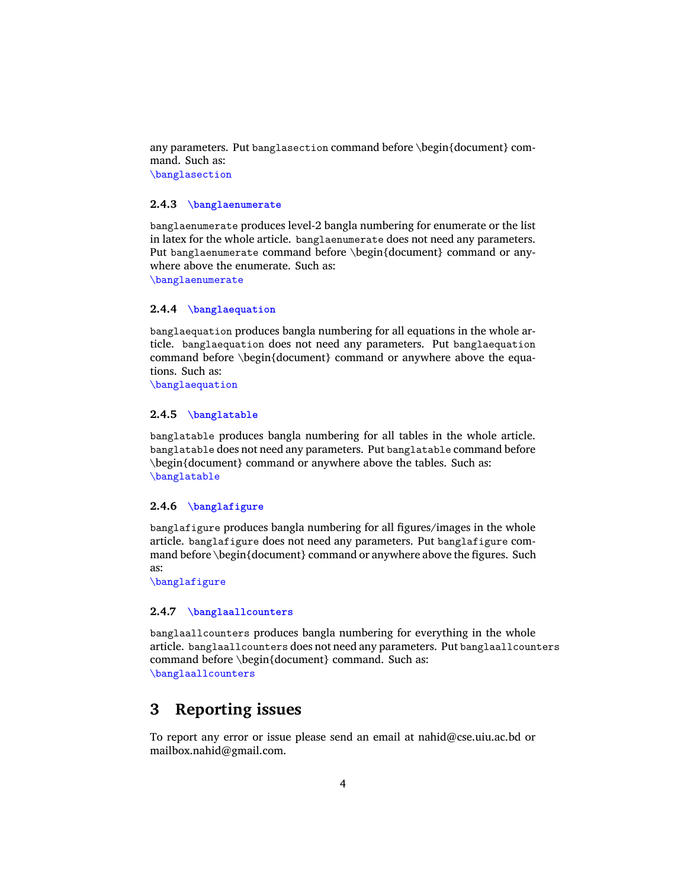any parameters. Put banglasection command before \begin{document} command. Such as: \banglasection

#### **2.4.3 \banglaenumerate**

banglaenumerate produces level-2 bangla numbering for enumerate or the list in latex for the whole article. banglaenumerate does not need any parameters. Put banglaenumerate command before \begin{document} command or anywhere above the enumerate. Such as: \banglaenumerate

#### **2.4.4 \banglaequation**

banglaequation produces bangla numbering for all equations in the whole article. banglaequation does not need any parameters. Put banglaequation command before \begin{document} command or anywhere above the equations. Such as:

\banglaequation

#### **2.4.5 \banglatable**

banglatable produces bangla numbering for all tables in the whole article. banglatable does not need any parameters. Put banglatable command before \begin{document} command or anywhere above the tables. Such as: \banglatable

#### **2.4.6 \banglafigure**

banglafigure produces bangla numbering for all figures/images in the whole article. banglafigure does not need any parameters. Put banglafigure command before \begin{document} command or anywhere above the figures. Such as:

\banglafigure

#### **2.4.7 \banglaallcounters**

banglaallcounters produces bangla numbering for everything in the whole article. banglaallcounters does not need any parameters. Put banglaallcounters command before \begin{document} command. Such as: \banglaallcounters

# **3 Reporting issues**

To report any error or issue please send an email at nahid@cse.uiu.ac.bd or mailbox.nahid@gmail.com.